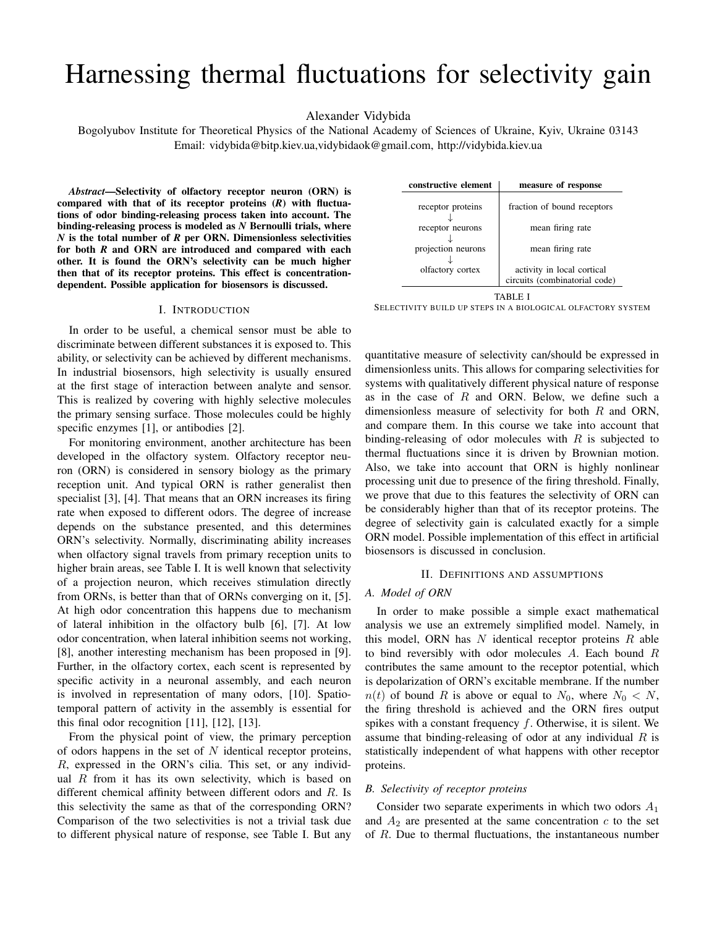# Harnessing thermal fluctuations for selectivity gain

Alexander Vidybida

Bogolyubov Institute for Theoretical Physics of the National Academy of Sciences of Ukraine, Kyiv, Ukraine 03143 Email: vidybida@bitp.kiev.ua,vidybidaok@gmail.com, http://vidybida.kiev.ua

*Abstract*—Selectivity of olfactory receptor neuron (ORN) is compared with that of its receptor proteins (*R*) with fluctuations of odor binding-releasing process taken into account. The binding-releasing process is modeled as *N* Bernoulli trials, where *N* is the total number of *R* per ORN. Dimensionless selectivities for both *R* and ORN are introduced and compared with each other. It is found the ORN's selectivity can be much higher then that of its receptor proteins. This effect is concentrationdependent. Possible application for biosensors is discussed.

#### I. INTRODUCTION

In order to be useful, a chemical sensor must be able to discriminate between different substances it is exposed to. This ability, or selectivity can be achieved by different mechanisms. In industrial biosensors, high selectivity is usually ensured at the first stage of interaction between analyte and sensor. This is realized by covering with highly selective molecules the primary sensing surface. Those molecules could be highly specific enzymes [1], or antibodies [2].

For monitoring environment, another architecture has been developed in the olfactory system. Olfactory receptor neuron (ORN) is considered in sensory biology as the primary reception unit. And typical ORN is rather generalist then specialist [3], [4]. That means that an ORN increases its firing rate when exposed to different odors. The degree of increase depends on the substance presented, and this determines ORN's selectivity. Normally, discriminating ability increases when olfactory signal travels from primary reception units to higher brain areas, see Table I. It is well known that selectivity of a projection neuron, which receives stimulation directly from ORNs, is better than that of ORNs converging on it, [5]. At high odor concentration this happens due to mechanism of lateral inhibition in the olfactory bulb [6], [7]. At low odor concentration, when lateral inhibition seems not working, [8], another interesting mechanism has been proposed in [9]. Further, in the olfactory cortex, each scent is represented by specific activity in a neuronal assembly, and each neuron is involved in representation of many odors, [10]. Spatiotemporal pattern of activity in the assembly is essential for this final odor recognition [11], [12], [13].

From the physical point of view, the primary perception of odors happens in the set of  $N$  identical receptor proteins, R, expressed in the ORN's cilia. This set, or any individual  $R$  from it has its own selectivity, which is based on different chemical affinity between different odors and R. Is this selectivity the same as that of the corresponding ORN? Comparison of the two selectivities is not a trivial task due to different physical nature of response, see Table I. But any

| measure of response           |  |  |
|-------------------------------|--|--|
|                               |  |  |
| fraction of bound receptors   |  |  |
|                               |  |  |
| mean firing rate              |  |  |
|                               |  |  |
| mean firing rate              |  |  |
|                               |  |  |
| activity in local cortical    |  |  |
| circuits (combinatorial code) |  |  |
|                               |  |  |

TABLE I SELECTIVITY BUILD UP STEPS IN A BIOLOGICAL OLFACTORY SYSTEM

quantitative measure of selectivity can/should be expressed in dimensionless units. This allows for comparing selectivities for systems with qualitatively different physical nature of response as in the case of  $R$  and ORN. Below, we define such a dimensionless measure of selectivity for both  $R$  and ORN, and compare them. In this course we take into account that binding-releasing of odor molecules with  $R$  is subjected to thermal fluctuations since it is driven by Brownian motion. Also, we take into account that ORN is highly nonlinear processing unit due to presence of the firing threshold. Finally, we prove that due to this features the selectivity of ORN can be considerably higher than that of its receptor proteins. The degree of selectivity gain is calculated exactly for a simple ORN model. Possible implementation of this effect in artificial biosensors is discussed in conclusion.

#### II. DEFINITIONS AND ASSUMPTIONS

## *A. Model of ORN*

In order to make possible a simple exact mathematical analysis we use an extremely simplified model. Namely, in this model, ORN has  $N$  identical receptor proteins  $R$  able to bind reversibly with odor molecules A. Each bound R contributes the same amount to the receptor potential, which is depolarization of ORN's excitable membrane. If the number  $n(t)$  of bound R is above or equal to  $N_0$ , where  $N_0 < N$ , the firing threshold is achieved and the ORN fires output spikes with a constant frequency  $f$ . Otherwise, it is silent. We assume that binding-releasing of odor at any individual  $R$  is statistically independent of what happens with other receptor proteins.

#### *B. Selectivity of receptor proteins*

Consider two separate experiments in which two odors  $A_1$ and  $A_2$  are presented at the same concentration c to the set of R. Due to thermal fluctuations, the instantaneous number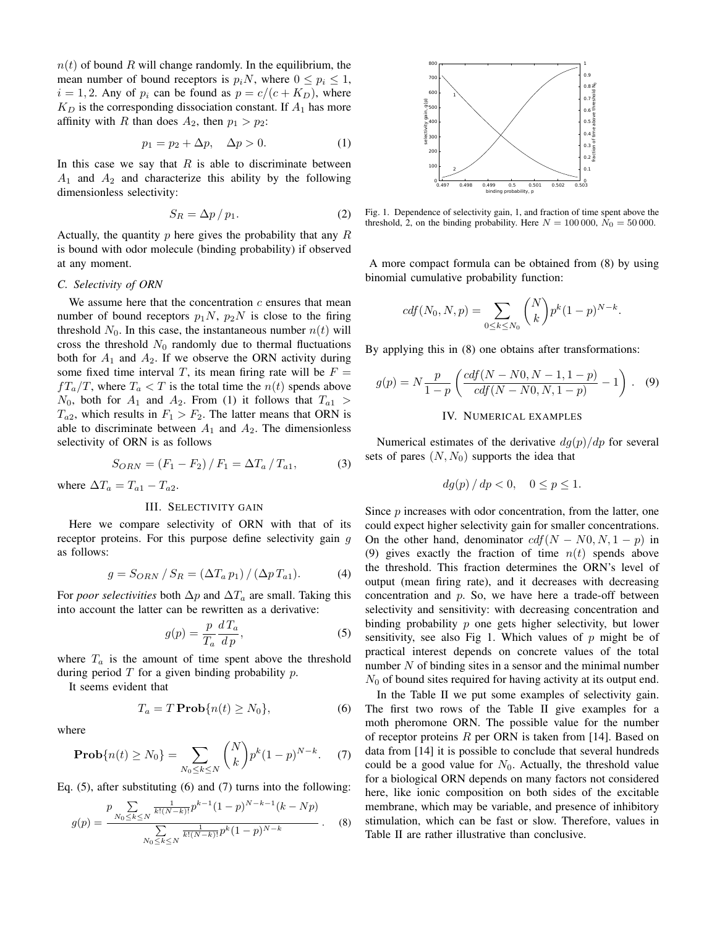$n(t)$  of bound R will change randomly. In the equilibrium, the mean number of bound receptors is  $p_iN$ , where  $0 \leq p_i \leq 1$ ,  $i = 1, 2$ . Any of  $p_i$  can be found as  $p = c/(c + K_D)$ , where  $K_D$  is the corresponding dissociation constant. If  $A_1$  has more affinity with R than does  $A_2$ , then  $p_1 > p_2$ :

$$
p_1 = p_2 + \Delta p, \quad \Delta p > 0. \tag{1}
$$

In this case we say that  $R$  is able to discriminate between  $A_1$  and  $A_2$  and characterize this ability by the following dimensionless selectivity:

$$
S_R = \Delta p / p_1. \tag{2}
$$

Actually, the quantity  $p$  here gives the probability that any  $R$ is bound with odor molecule (binding probability) if observed at any moment.

#### *C. Selectivity of ORN*

We assume here that the concentration  $c$  ensures that mean number of bound receptors  $p_1N$ ,  $p_2N$  is close to the firing threshold  $N_0$ . In this case, the instantaneous number  $n(t)$  will cross the threshold  $N_0$  randomly due to thermal fluctuations both for  $A_1$  and  $A_2$ . If we observe the ORN activity during some fixed time interval T, its mean firing rate will be  $F =$  $fT_a/T$ , where  $T_a < T$  is the total time the  $n(t)$  spends above  $N_0$ , both for  $A_1$  and  $A_2$ . From (1) it follows that  $T_{a1} >$  $T_{a2}$ , which results in  $F_1 > F_2$ . The latter means that ORN is able to discriminate between  $A_1$  and  $A_2$ . The dimensionless selectivity of ORN is as follows

$$
S_{ORN} = (F_1 - F_2) / F_1 = \Delta T_a / T_{a1},
$$
 (3)

where  $\Delta T_a = T_{a1} - T_{a2}$ .

# III. SELECTIVITY GAIN

Here we compare selectivity of ORN with that of its receptor proteins. For this purpose define selectivity gain g as follows:

$$
g = S_{ORN} / S_R = \left(\Delta T_a \, p_1\right) / \left(\Delta p \, T_{a1}\right). \tag{4}
$$

For *poor selectivities* both  $\Delta p$  and  $\Delta T_a$  are small. Taking this into account the latter can be rewritten as a derivative:

$$
g(p) = \frac{p}{T_a} \frac{dT_a}{dp},\tag{5}
$$

where  $T_a$  is the amount of time spent above the threshold during period  $T$  for a given binding probability  $p$ .

It seems evident that

$$
T_a = T \operatorname{Prob}\{n(t) \ge N_0\},\tag{6}
$$

where

**Prob**{
$$
n(t) \ge N_0
$$
} =  $\sum_{N_0 \le k \le N} {N \choose k} p^k (1-p)^{N-k}.$  (7)

Eq. (5), after substituting (6) and (7) turns into the following:

$$
g(p) = \frac{p \sum_{N_0 \le k \le N} \frac{1}{k!(N-k)!} p^{k-1} (1-p)^{N-k-1} (k - Np)}{\sum_{N_0 \le k \le N} \frac{1}{k!(N-k)!} p^k (1-p)^{N-k}}.
$$
 (8)



Fig. 1. Dependence of selectivity gain, 1, and fraction of time spent above the threshold, 2, on the binding probability. Here  $N = 100000$ ,  $N_0 = 50000$ .

A more compact formula can be obtained from (8) by using binomial cumulative probability function:

$$
cdf(N_0, N, p) = \sum_{0 \le k \le N_0} {N \choose k} p^k (1-p)^{N-k}.
$$

By applying this in (8) one obtains after transformations:

$$
g(p) = N \frac{p}{1-p} \left( \frac{cdf(N - N0, N - 1, 1 - p)}{cdf(N - N0, N, 1 - p)} - 1 \right).
$$
 (9)

# IV. NUMERICAL EXAMPLES

Numerical estimates of the derivative  $dg(p)/dp$  for several sets of pares  $(N, N_0)$  supports the idea that

$$
dg(p) / dp < 0, \quad 0 \le p \le 1.
$$

Since *p* increases with odor concentration, from the latter, one could expect higher selectivity gain for smaller concentrations. On the other hand, denominator  $cdf(N - N0, N, 1 - p)$  in (9) gives exactly the fraction of time  $n(t)$  spends above the threshold. This fraction determines the ORN's level of output (mean firing rate), and it decreases with decreasing concentration and p. So, we have here a trade-off between selectivity and sensitivity: with decreasing concentration and binding probability  $p$  one gets higher selectivity, but lower sensitivity, see also Fig 1. Which values of  $p$  might be of practical interest depends on concrete values of the total number N of binding sites in a sensor and the minimal number  $N_0$  of bound sites required for having activity at its output end.

In the Table II we put some examples of selectivity gain. The first two rows of the Table II give examples for a moth pheromone ORN. The possible value for the number of receptor proteins  $R$  per ORN is taken from [14]. Based on data from [14] it is possible to conclude that several hundreds could be a good value for  $N_0$ . Actually, the threshold value for a biological ORN depends on many factors not considered here, like ionic composition on both sides of the excitable membrane, which may be variable, and presence of inhibitory stimulation, which can be fast or slow. Therefore, values in Table II are rather illustrative than conclusive.